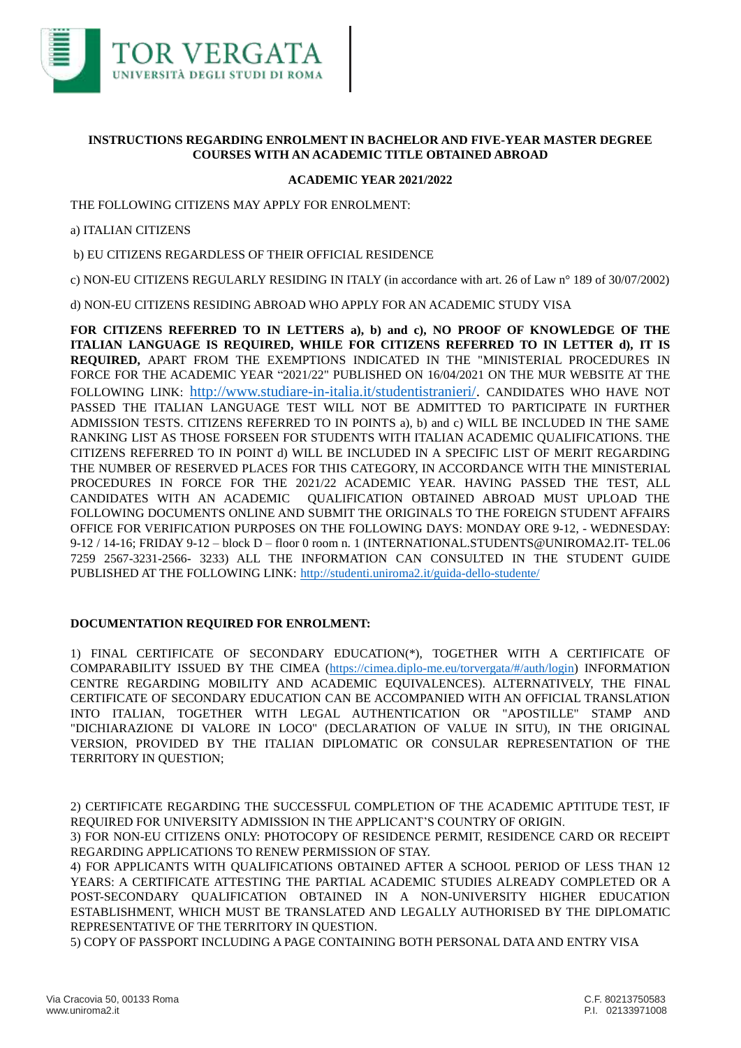

## **INSTRUCTIONS REGARDING ENROLMENT IN BACHELOR AND FIVE-YEAR MASTER DEGREE COURSES WITH AN ACADEMIC TITLE OBTAINED ABROAD**

## **ACADEMIC YEAR 2021/2022**

THE FOLLOWING CITIZENS MAY APPLY FOR ENROLMENT:

a) ITALIAN CITIZENS

b) EU CITIZENS REGARDLESS OF THEIR OFFICIAL RESIDENCE

c) NON-EU CITIZENS REGULARLY RESIDING IN ITALY (in accordance with art. 26 of Law n° 189 of 30/07/2002)

d) NON-EU CITIZENS RESIDING ABROAD WHO APPLY FOR AN ACADEMIC STUDY VISA

**FOR CITIZENS REFERRED TO IN LETTERS a), b) and c), NO PROOF OF KNOWLEDGE OF THE ITALIAN LANGUAGE IS REQUIRED, WHILE FOR CITIZENS REFERRED TO IN LETTER d), IT IS REQUIRED,** APART FROM THE EXEMPTIONS INDICATED IN THE "MINISTERIAL PROCEDURES IN FORCE FOR THE ACADEMIC YEAR "2021/22" PUBLISHED ON 16/04/2021 ON THE MUR WEBSITE AT THE FOLLOWING LINK: http://www.studiare-in-italia.it/studentistranieri/. CANDIDATES WHO HAVE NOT PASSED THE ITALIAN LANGUAGE TEST WILL NOT BE ADMITTED TO PARTICIPATE IN FURTHER ADMISSION TESTS. CITIZENS REFERRED TO IN POINTS a), b) and c) WILL BE INCLUDED IN THE SAME RANKING LIST AS THOSE FORSEEN FOR STUDENTS WITH ITALIAN ACADEMIC QUALIFICATIONS. THE CITIZENS REFERRED TO IN POINT d) WILL BE INCLUDED IN A SPECIFIC LIST OF MERIT REGARDING THE NUMBER OF RESERVED PLACES FOR THIS CATEGORY, IN ACCORDANCE WITH THE MINISTERIAL PROCEDURES IN FORCE FOR THE 2021/22 ACADEMIC YEAR. HAVING PASSED THE TEST, ALL CANDIDATES WITH AN ACADEMIC QUALIFICATION OBTAINED ABROAD MUST UPLOAD THE FOLLOWING DOCUMENTS ONLINE AND SUBMIT THE ORIGINALS TO THE FOREIGN STUDENT AFFAIRS OFFICE FOR VERIFICATION PURPOSES ON THE FOLLOWING DAYS: MONDAY ORE 9-12, - WEDNESDAY: 9-12 / 14-16; FRIDAY 9-12 – block D – floor 0 room n. 1 (INTERNATIONAL.STUDENTS@UNIROMA2.IT- TEL.06 7259 2567-3231-2566- 3233) ALL THE INFORMATION CAN CONSULTED IN THE STUDENT GUIDE PUBLISHED AT THE FOLLOWING LINK: http://studenti.uniroma2.it/guida-dello-studente/

## **DOCUMENTATION REQUIRED FOR ENROLMENT:**

1) FINAL CERTIFICATE OF SECONDARY EDUCATION(\*), TOGETHER WITH A CERTIFICATE OF COMPARABILITY ISSUED BY THE CIMEA (https://cimea.diplo-me.eu/torvergata/#/auth/login) INFORMATION CENTRE REGARDING MOBILITY AND ACADEMIC EQUIVALENCES). ALTERNATIVELY, THE FINAL CERTIFICATE OF SECONDARY EDUCATION CAN BE ACCOMPANIED WITH AN OFFICIAL TRANSLATION INTO ITALIAN, TOGETHER WITH LEGAL AUTHENTICATION OR "APOSTILLE" STAMP AND "DICHIARAZIONE DI VALORE IN LOCO" (DECLARATION OF VALUE IN SITU), IN THE ORIGINAL VERSION, PROVIDED BY THE ITALIAN DIPLOMATIC OR CONSULAR REPRESENTATION OF THE TERRITORY IN QUESTION;

2) CERTIFICATE REGARDING THE SUCCESSFUL COMPLETION OF THE ACADEMIC APTITUDE TEST, IF REQUIRED FOR UNIVERSITY ADMISSION IN THE APPLICANT'S COUNTRY OF ORIGIN.

3) FOR NON-EU CITIZENS ONLY: PHOTOCOPY OF RESIDENCE PERMIT, RESIDENCE CARD OR RECEIPT REGARDING APPLICATIONS TO RENEW PERMISSION OF STAY.

4) FOR APPLICANTS WITH QUALIFICATIONS OBTAINED AFTER A SCHOOL PERIOD OF LESS THAN 12 YEARS: A CERTIFICATE ATTESTING THE PARTIAL ACADEMIC STUDIES ALREADY COMPLETED OR A POST-SECONDARY QUALIFICATION OBTAINED IN A NON-UNIVERSITY HIGHER EDUCATION ESTABLISHMENT, WHICH MUST BE TRANSLATED AND LEGALLY AUTHORISED BY THE DIPLOMATIC REPRESENTATIVE OF THE TERRITORY IN QUESTION.

5) COPY OF PASSPORT INCLUDING A PAGE CONTAINING BOTH PERSONAL DATA AND ENTRY VISA